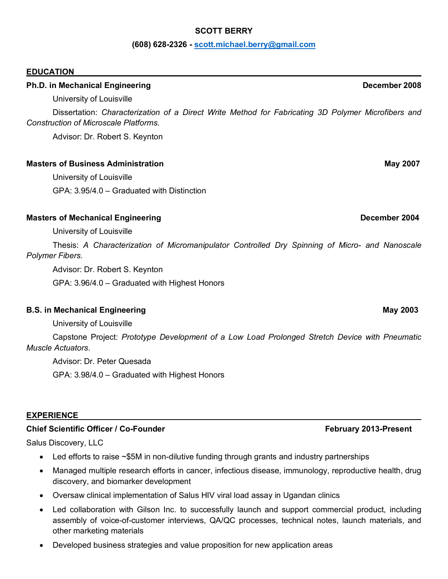### **SCOTT BERRY**

### **(608) 628-2326 - scott.michael.berry@gmail.com**

### **EDUCATION**

### **Ph.D. in Mechanical Engineering Contract Contract Contract Contract Contract Contract Contract Contract Contract Contract Contract Contract Contract Contract Contract Contract Contract Contract Contract Contract Contract**

University of Louisville

Dissertation: *Characterization of a Direct Write Method for Fabricating 3D Polymer Microfibers and Construction of Microscale Platforms.*

Advisor: Dr. Robert S. Keynton

### **Masters of Business Administration May 2007**

University of Louisville GPA: 3.95/4.0 – Graduated with Distinction

### **Masters of Mechanical Engineering Community Community Community Community Community Community Community Community**

### University of Louisville

Thesis: *A Characterization of Micromanipulator Controlled Dry Spinning of Micro- and Nanoscale Polymer Fibers.*

Advisor: Dr. Robert S. Keynton

GPA: 3.96/4.0 – Graduated with Highest Honors

### **B.S. in Mechanical Engineering May 2003**

University of Louisville

Capstone Project: *Prototype Development of a Low Load Prolonged Stretch Device with Pneumatic Muscle Actuators*.

Advisor: Dr. Peter Quesada

GPA: 3.98/4.0 – Graduated with Highest Honors

### **EXPERIENCE**

### **Chief Scientific Officer / Co-Founder February 2013-Present**

Salus Discovery, LLC

- Led efforts to raise ~\$5M in non-dilutive funding through grants and industry partnerships
- Managed multiple research efforts in cancer, infectious disease, immunology, reproductive health, drug discovery, and biomarker development
- Oversaw clinical implementation of Salus HIV viral load assay in Ugandan clinics
- Led collaboration with Gilson Inc. to successfully launch and support commercial product, including assembly of voice-of-customer interviews, QA/QC processes, technical notes, launch materials, and other marketing materials
- Developed business strategies and value proposition for new application areas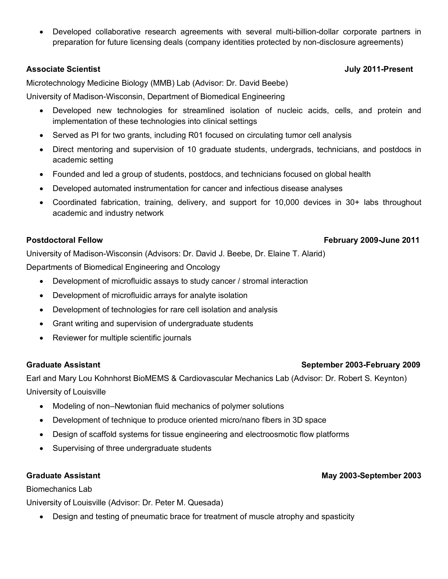• Developed collaborative research agreements with several multi-billion-dollar corporate partners in preparation for future licensing deals (company identities protected by non-disclosure agreements)

## **Associate Scientist July 2011-Present**

Microtechnology Medicine Biology (MMB) Lab (Advisor: Dr. David Beebe)

University of Madison-Wisconsin, Department of Biomedical Engineering

- Developed new technologies for streamlined isolation of nucleic acids, cells, and protein and implementation of these technologies into clinical settings
- Served as PI for two grants, including R01 focused on circulating tumor cell analysis
- Direct mentoring and supervision of 10 graduate students, undergrads, technicians, and postdocs in academic setting
- Founded and led a group of students, postdocs, and technicians focused on global health
- Developed automated instrumentation for cancer and infectious disease analyses
- Coordinated fabrication, training, delivery, and support for 10,000 devices in 30+ labs throughout academic and industry network

## **Postdoctoral Fellow February 2009-June 2011**

University of Madison-Wisconsin (Advisors: Dr. David J. Beebe, Dr. Elaine T. Alarid)

Departments of Biomedical Engineering and Oncology

- Development of microfluidic assays to study cancer / stromal interaction
- Development of microfluidic arrays for analyte isolation
- Development of technologies for rare cell isolation and analysis
- Grant writing and supervision of undergraduate students
- Reviewer for multiple scientific journals

## **Graduate Assistant September 2003-February 2009**

Earl and Mary Lou Kohnhorst BioMEMS & Cardiovascular Mechanics Lab (Advisor: Dr. Robert S. Keynton) University of Louisville

- Modeling of non–Newtonian fluid mechanics of polymer solutions
- Development of technique to produce oriented micro/nano fibers in 3D space
- Design of scaffold systems for tissue engineering and electroosmotic flow platforms
- Supervising of three undergraduate students

## **Graduate Assistant May 2003-September 2003**

## Biomechanics Lab

University of Louisville (Advisor: Dr. Peter M. Quesada)

• Design and testing of pneumatic brace for treatment of muscle atrophy and spasticity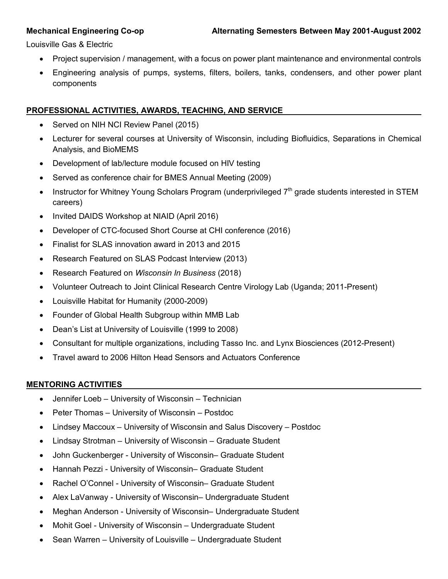Louisville Gas & Electric

- Project supervision / management, with a focus on power plant maintenance and environmental controls
- Engineering analysis of pumps, systems, filters, boilers, tanks, condensers, and other power plant components

## **PROFESSIONAL ACTIVITIES, AWARDS, TEACHING, AND SERVICE**

- Served on NIH NCI Review Panel (2015)
- Lecturer for several courses at University of Wisconsin, including Biofluidics, Separations in Chemical Analysis, and BioMEMS
- Development of lab/lecture module focused on HIV testing
- Served as conference chair for BMES Annual Meeting (2009)
- Instructor for Whitney Young Scholars Program (underprivileged 7<sup>th</sup> grade students interested in STEM careers)
- Invited DAIDS Workshop at NIAID (April 2016)
- Developer of CTC-focused Short Course at CHI conference (2016)
- Finalist for SLAS innovation award in 2013 and 2015
- Research Featured on SLAS Podcast Interview (2013)
- Research Featured on *Wisconsin In Business* (2018)
- Volunteer Outreach to Joint Clinical Research Centre Virology Lab (Uganda; 2011-Present)
- Louisville Habitat for Humanity (2000-2009)
- Founder of Global Health Subgroup within MMB Lab
- Dean's List at University of Louisville (1999 to 2008)
- Consultant for multiple organizations, including Tasso Inc. and Lynx Biosciences (2012-Present)
- Travel award to 2006 Hilton Head Sensors and Actuators Conference

## **MENTORING ACTIVITIES**

- Jennifer Loeb University of Wisconsin Technician
- Peter Thomas University of Wisconsin Postdoc
- Lindsey Maccoux University of Wisconsin and Salus Discovery Postdoc
- Lindsay Strotman University of Wisconsin Graduate Student
- John Guckenberger University of Wisconsin– Graduate Student
- Hannah Pezzi University of Wisconsin– Graduate Student
- Rachel O'Connel University of Wisconsin– Graduate Student
- Alex LaVanway University of Wisconsin– Undergraduate Student
- Meghan Anderson University of Wisconsin– Undergraduate Student
- Mohit Goel University of Wisconsin Undergraduate Student
- Sean Warren University of Louisville Undergraduate Student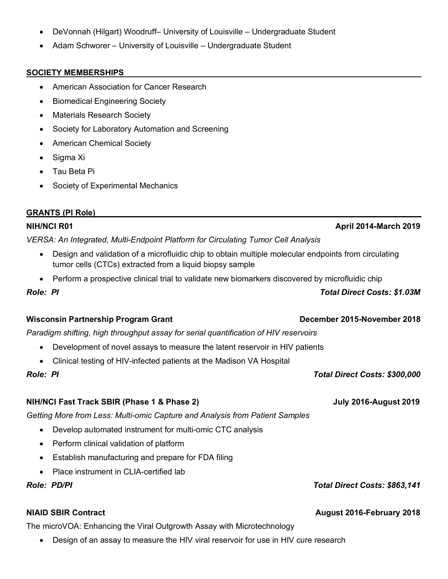- DeVonnah (Hilgart) Woodruff– University of Louisville Undergraduate Student
- Adam Schworer University of Louisville Undergraduate Student

### **SOCIETY MEMBERSHIPS**

- American Association for Cancer Research
- Biomedical Engineering Society
- Materials Research Society
- Society for Laboratory Automation and Screening
- American Chemical Society
- Sigma Xi
- Tau Beta Pi
- Society of Experimental Mechanics
- *VERSA: An Integrated, Multi-Endpoint Platform for Circulating Tumor Cell Analysis*
	- Design and validation of a microfluidic chip to obtain multiple molecular endpoints from circulating tumor cells (CTCs) extracted from a liquid biopsy sample
	- Perform a prospective clinical trial to validate new biomarkers discovered by microfluidic chip

*Role: PI Total Direct Costs: \$1.03M*

### **Wisconsin Partnership Program Grant December 2015-November 2018**

*Paradigm shifting, high throughput assay for serial quantification of HIV reservoirs*

- Development of novel assays to measure the latent reservoir in HIV patients
- Clinical testing of HIV-infected patients at the Madison VA Hospital

### **NIH/NCI Fast Track SBIR (Phase 1 & Phase 2) July 2016-August 2019**

*Getting More from Less: Multi-omic Capture and Analysis from Patient Samples*

- Develop automated instrument for multi-omic CTC analysis
- Perform clinical validation of platform
- Establish manufacturing and prepare for FDA filing
- Place instrument in CLIA-certified lab

The microVOA: Enhancing the Viral Outgrowth Assay with Microtechnology

• Design of an assay to measure the HIV viral reservoir for use in HIV cure research

*Role: PD/PI Total Direct Costs: \$863,141*

### **NIAID SBIR Contract August 2016-February 2018**

*Role: PI Total Direct Costs: \$300,000*

# **NIH/NCI R01 April 2014-March 2019**

**GRANTS (PI Role)**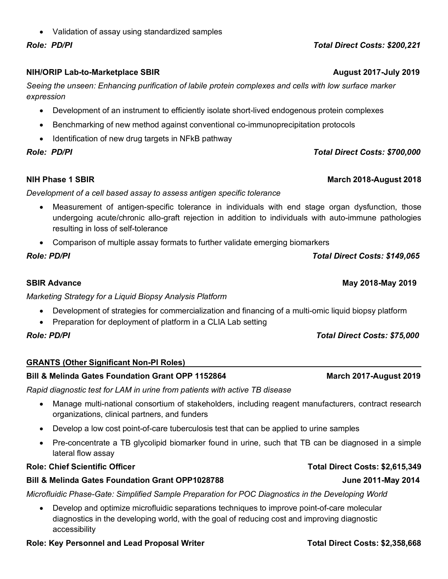• Validation of assay using standardized samples

# **NIH/ORIP Lab-to-Marketplace SBIR** August 2017-July 2019

*Seeing the unseen: Enhancing purification of labile protein complexes and cells with low surface marker expression*

- Development of an instrument to efficiently isolate short-lived endogenous protein complexes
- Benchmarking of new method against conventional co-immunoprecipitation protocols
- Identification of new drug targets in NFkB pathway

# *Role: PD/PI Total Direct Costs: \$700,000*

# **NIH Phase 1 SBIR March 2018-August 2018**

# *Development of a cell based assay to assess antigen specific tolerance*

- Measurement of antigen-specific tolerance in individuals with end stage organ dysfunction, those undergoing acute/chronic allo-graft rejection in addition to individuals with auto-immune pathologies resulting in loss of self-tolerance
- Comparison of multiple assay formats to further validate emerging biomarkers

# *Role: PD/PI Total Direct Costs: \$149,065*

# *Marketing Strategy for a Liquid Biopsy Analysis Platform*

- Development of strategies for commercialization and financing of a multi-omic liquid biopsy platform
- Preparation for deployment of platform in a CLIA Lab setting

# *Role: PD/PI Total Direct Costs: \$75,000*

# **GRANTS (Other Significant Non-PI Roles)**

# **Bill & Melinda Gates Foundation Grant OPP 1152864 March 2017-August 2019**

# *Rapid diagnostic test for LAM in urine from patients with active TB disease*

- Manage multi-national consortium of stakeholders, including reagent manufacturers, contract research organizations, clinical partners, and funders
- Develop a low cost point-of-care tuberculosis test that can be applied to urine samples
- Pre-concentrate a TB glycolipid biomarker found in urine, such that TB can be diagnosed in a simple lateral flow assay

# **Role: Chief Scientific Officer Total Direct Costs: \$2,615,349**

# **Bill & Melinda Gates Foundation Grant OPP1028788 June 2011-May 2014**

*Microfluidic Phase-Gate: Simplified Sample Preparation for POC Diagnostics in the Developing World*

• Develop and optimize microfluidic separations techniques to improve point-of-care molecular diagnostics in the developing world, with the goal of reducing cost and improving diagnostic accessibility

# **Role: Key Personnel and Lead Proposal Writer Total Direct Costs: \$2,358,668**

# *Role: PD/PI Total Direct Costs: \$200,221*

# **SBIR Advance May 2018-May 2019**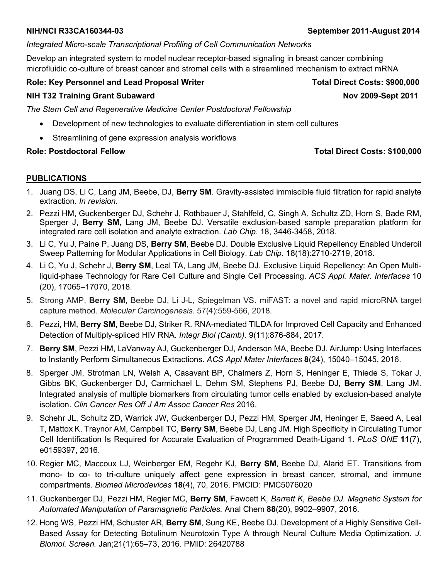### **NIH/NCI R33CA160344-03 September 2011-August 2014**

## *Integrated Micro-scale Transcriptional Profiling of Cell Communication Networks*

Develop an integrated system to model nuclear receptor-based signaling in breast cancer combining microfluidic co-culture of breast cancer and stromal cells with a streamlined mechanism to extract mRNA

## **Role: Key Personnel and Lead Proposal Writer New York Costs: \$900,000 Total Direct Costs: \$900,000**

## **NIH T32 Training Grant Subaward Nov 2009-Sept 2011**

*The Stem Cell and Regenerative Medicine Center Postdoctoral Fellowship*

- Development of new technologies to evaluate differentiation in stem cell cultures
- Streamlining of gene expression analysis workflows

## **Role: Postdoctoral Fellow Total Direct Costs: \$100,000**

### **PUBLICATIONS**

- 1. Juang DS, Li C, Lang JM, Beebe, DJ, **Berry SM**. Gravity-assisted immiscible fluid filtration for rapid analyte extraction. *In revision.*
- 2. Pezzi HM, Guckenberger DJ, Schehr J, Rothbauer J, Stahlfeld, C, Singh A, Schultz ZD, Horn S, Bade RM, Sperger J, **Berry SM**, Lang JM, Beebe DJ. Versatile exclusion-based sample preparation platform for integrated rare cell isolation and analyte extraction. *Lab Chip.* 18, 3446-3458, 2018.
- 3. Li C, Yu J, Paine P, Juang DS, **Berry SM**, Beebe DJ. Double Exclusive Liquid Repellency Enabled Underoil Sweep Patterning for Modular Applications in Cell Biology. *Lab Chip.* 18(18):2710-2719, 2018.
- 4. Li C, Yu J, Schehr J, **Berry SM**, Leal TA, Lang JM, Beebe DJ. Exclusive Liquid Repellency: An Open Multiliquid-phase Technology for Rare Cell Culture and Single Cell Processing. *ACS Appl. Mater. Interfaces* 10 (20), 17065–17070, 2018.
- 5. Strong AMP, **Berry SM**, Beebe DJ, Li J-L, Spiegelman VS. miFAST: a novel and rapid microRNA target capture method. *Molecular Carcinogenesis.* 57(4):559-566, 2018.
- 6. Pezzi, HM, **Berry SM**, Beebe DJ, Striker R. RNA-mediated TILDA for Improved Cell Capacity and Enhanced Detection of Multiply-spliced HIV RNA*. Integr Biol (Camb).* 9(11):876-884, 2017.
- 7. **Berry SM**, Pezzi HM, LaVanway AJ, Guckenberger DJ, Anderson MA, Beebe DJ. AirJump: Using Interfaces to Instantly Perform Simultaneous Extractions. *ACS Appl Mater Interfaces* **8**(24), 15040–15045, 2016.
- 8. Sperger JM, Strotman LN, Welsh A, Casavant BP, Chalmers Z, Horn S, Heninger E, Thiede S, Tokar J, Gibbs BK, Guckenberger DJ, Carmichael L, Dehm SM, Stephens PJ, Beebe DJ, **Berry SM**, Lang JM. Integrated analysis of multiple biomarkers from circulating tumor cells enabled by exclusion-based analyte isolation. *Clin Cancer Res Off J Am Assoc Cancer Res* 2016.
- 9. Schehr JL, Schultz ZD, Warrick JW, Guckenberger DJ, Pezzi HM, Sperger JM, Heninger E, Saeed A, Leal T, Mattox K, Traynor AM, Campbell TC, **Berry SM**, Beebe DJ, Lang JM. High Specificity in Circulating Tumor Cell Identification Is Required for Accurate Evaluation of Programmed Death-Ligand 1. *PLoS ONE* **11**(7), e0159397, 2016.
- 10. Regier MC, Maccoux LJ, Weinberger EM, Regehr KJ, **Berry SM**, Beebe DJ, Alarid ET. Transitions from mono- to co- to tri-culture uniquely affect gene expression in breast cancer, stromal, and immune compartments. *Biomed Microdevices* **18**(4), 70, 2016. PMCID: PMC5076020
- 11. Guckenberger DJ, Pezzi HM, Regier MC, **Berry SM**, Fawcett K*, Barrett K, Beebe DJ. Magnetic System for Automated Manipulation of Paramagnetic Particles.* Anal Chem **88**(20), 9902–9907, 2016.
- 12. Hong WS, Pezzi HM, Schuster AR, **Berry SM**, Sung KE, Beebe DJ. Development of a Highly Sensitive Cell-Based Assay for Detecting Botulinum Neurotoxin Type A through Neural Culture Media Optimization. *J. Biomol. Screen.* Jan;21(1):65–73, 2016. PMID: 26420788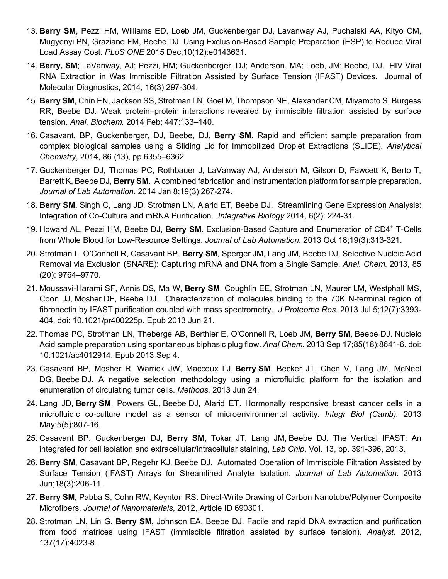- 13. **Berry SM**, Pezzi HM, Williams ED, Loeb JM, Guckenberger DJ, Lavanway AJ, Puchalski AA, Kityo CM, Mugyenyi PN, Graziano FM, Beebe DJ. Using Exclusion-Based Sample Preparation (ESP) to Reduce Viral Load Assay Cost. *PLoS ONE* 2015 Dec;10(12):e0143631.
- 14. **Berry, SM**; LaVanway, AJ; Pezzi, HM; Guckenberger, DJ; Anderson, MA; Loeb, JM; Beebe, DJ. HIV Viral RNA Extraction in Was Immiscible Filtration Assisted by Surface Tension (IFAST) Devices. Journal of Molecular Diagnostics, 2014, 16(3) 297-304.
- 15. **Berry SM**, Chin EN, Jackson SS, Strotman LN, Goel M, Thompson NE, Alexander CM, Miyamoto S, Burgess RR, Beebe DJ. Weak protein–protein interactions revealed by immiscible filtration assisted by surface tension. *Anal. Biochem.* 2014 Feb; 447:133–140.
- 16. Casavant, BP, Guckenberger, DJ, Beebe, DJ, **Berry SM**. Rapid and efficient sample preparation from complex biological samples using a Sliding Lid for Immobilized Droplet Extractions (SLIDE). *Analytical Chemistry*, 2014, 86 (13), pp 6355–6362
- 17. Guckenberger DJ, Thomas PC, Rothbauer J, LaVanway AJ, Anderson M, Gilson D, Fawcett K, Berto T, Barrett K, Beebe DJ, **Berry SM**. A combined fabrication and instrumentation platform for sample preparation. *Journal of Lab Automation*. 2014 Jan 8;19(3):267-274.
- 18. **Berry SM**, Singh C, Lang JD, Strotman LN, Alarid ET, Beebe DJ. Streamlining Gene Expression Analysis: Integration of Co-Culture and mRNA Purification. *Integrative Biology* 2014, 6(2): 224-31.
- 19. Howard AL, Pezzi HM, Beebe DJ, **Berry SM**. Exclusion-Based Capture and Enumeration of CD4<sup>+</sup> T-Cells from Whole Blood for Low-Resource Settings. *Journal of Lab Automation.* 2013 Oct 18;19(3):313-321.
- 20. Strotman L, O'Connell R, Casavant BP, **Berry SM**, Sperger JM, Lang JM, Beebe DJ, Selective Nucleic Acid Removal via Exclusion (SNARE): Capturing mRNA and DNA from a Single Sample. *Anal. Chem.* 2013, 85 (20): 9764–9770.
- 21. Moussavi-Harami SF, Annis DS, Ma W, **Berry SM**, Coughlin EE, Strotman LN, Maurer LM, Westphall MS, Coon JJ, Mosher DF, Beebe DJ. Characterization of molecules binding to the 70K N-terminal region of fibronectin by IFAST purification coupled with mass spectrometry. *J Proteome Res*. 2013 Jul 5;12(7):3393- 404. doi: 10.1021/pr400225p. Epub 2013 Jun 21.
- 22. Thomas PC, Strotman LN, Theberge AB, Berthier E, O'Connell R, Loeb JM, **Berry SM**, Beebe DJ. Nucleic Acid sample preparation using spontaneous biphasic plug flow. *Anal Chem.* 2013 Sep 17;85(18):8641-6. doi: 10.1021/ac4012914. Epub 2013 Sep 4.
- 23. Casavant BP, Mosher R, Warrick JW, Maccoux LJ, **Berry SM**, Becker JT, Chen V, Lang JM, McNeel DG, Beebe DJ. A negative selection methodology using a microfluidic platform for the isolation and enumeration of circulating tumor cells. *Methods.* 2013 Jun 24.
- 24. Lang JD, **Berry SM**, Powers GL, Beebe DJ, Alarid ET. Hormonally responsive breast cancer cells in a microfluidic co-culture model as a sensor of microenvironmental activity. *Integr Biol (Camb).* 2013 May;5(5):807-16.
- 25. Casavant BP, Guckenberger DJ, **Berry SM**, Tokar JT, Lang JM, Beebe DJ. The Vertical IFAST: An integrated for cell isolation and extracellular/intracellular staining, *Lab Chip*, Vol. 13, pp. 391-396, 2013.
- 26. **Berry SM**, Casavant BP, Regehr KJ, Beebe DJ. Automated Operation of Immiscible Filtration Assisted by Surface Tension (IFAST) Arrays for Streamlined Analyte Isolation. *Journal of Lab Automation.* 2013 Jun;18(3):206-11.
- 27. **Berry SM,** Pabba S, Cohn RW, Keynton RS. Direct-Write Drawing of Carbon Nanotube/Polymer Composite Microfibers. *Journal of Nanomaterials*, 2012, Article ID 690301.
- 28. Strotman LN, Lin G. **Berry SM,** Johnson EA, Beebe DJ. Facile and rapid DNA extraction and purification from food matrices using IFAST (immiscible filtration assisted by surface tension). *Analyst.* 2012, 137(17):4023-8.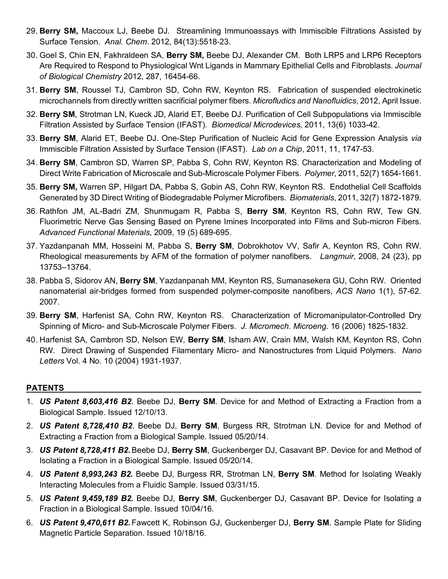- 29. **Berry SM,** Maccoux LJ, Beebe DJ. Streamlining Immunoassays with Immiscible Filtrations Assisted by Surface Tension. *Anal. Chem*. 2012, 84(13):5518-23.
- 30. Goel S, Chin EN, Fakhraldeen SA, **Berry SM,** Beebe DJ, Alexander CM. Both LRP5 and LRP6 Receptors Are Required to Respond to Physiological Wnt Ligands in Mammary Epithelial Cells and Fibroblasts. *Journal of Biological Chemistry* 2012, 287, 16454-66.
- 31. **Berry SM**, Roussel TJ, Cambron SD, Cohn RW, Keynton RS. Fabrication of suspended electrokinetic microchannels from directly written sacrificial polymer fibers. *Microfludics and Nanofluidics*, 2012, April Issue.
- 32. **Berry SM**, Strotman LN, Kueck JD, Alarid ET, Beebe DJ. Purification of Cell Subpopulations via Immiscible Filtration Assisted by Surface Tension (IFAST). *Biomedical Microdevices,* 2011, 13(6) 1033-42.
- 33. **Berry SM**, Alarid ET, Beebe DJ. One-Step Purification of Nucleic Acid for Gene Expression Analysis *via* Immiscible Filtration Assisted by Surface Tension (IFAST). *Lab on a Chip*, 2011, 11, 1747-53.
- 34. **Berry SM**, Cambron SD, Warren SP, Pabba S, Cohn RW, Keynton RS. Characterization and Modeling of Direct Write Fabrication of Microscale and Sub-Microscale Polymer Fibers. *Polymer*, 2011, 52(7) 1654-1661.
- 35. **Berry SM,** Warren SP, Hilgart DA, Pabba S, Gobin AS, Cohn RW, Keynton RS. Endothelial Cell Scaffolds Generated by 3D Direct Writing of Biodegradable Polymer Microfibers. *Biomaterials*, 2011, 32(7) 1872-1879.
- 36. Rathfon JM, AL-Badri ZM, Shunmugam R, Pabba S, **Berry SM**, Keynton RS, Cohn RW, Tew GN. Fluorimetric Nerve Gas Sensing Based on Pyrene Imines Incorporated into Films and Sub-micron Fibers. *Advanced Functional Materials*, 2009, 19 (5) 689-695.
- 37. Yazdanpanah MM, Hosseini M, Pabba S, **Berry SM**, Dobrokhotov VV, Safir A, Keynton RS, Cohn RW. Rheological measurements by AFM of the formation of polymer nanofibers. *Langmuir*, 2008, 24 (23), pp 13753–13764.
- 38. Pabba S, Sidorov AN, **Berry SM**, Yazdanpanah MM, Keynton RS, Sumanasekera GU, Cohn RW. Oriented nanomaterial air-bridges formed from suspended polymer-composite nanofibers, *ACS Nano* 1(1), 57-62. 2007.
- 39. **Berry SM**, Harfenist SA, Cohn RW, Keynton RS. Characterization of Micromanipulator-Controlled Dry Spinning of Micro- and Sub-Microscale Polymer Fibers. *J. Micromech. Microeng*. 16 (2006) 1825-1832.
- 40. Harfenist SA, Cambron SD, Nelson EW, **Berry SM**, Isham AW, Crain MM, Walsh KM, Keynton RS, Cohn RW. Direct Drawing of Suspended Filamentary Micro- and Nanostructures from Liquid Polymers. *Nano Letters* Vol. 4 No. 10 (2004) 1931-1937.

## **PATENTS**

- 1. *US Patent 8,603,416 B2*. Beebe DJ, **Berry SM**. Device for and Method of Extracting a Fraction from a Biological Sample. Issued 12/10/13.
- 2. *US Patent 8,728,410 B2*. Beebe DJ, **Berry SM**, Burgess RR, Strotman LN. Device for and Method of Extracting a Fraction from a Biological Sample. Issued 05/20/14.
- 3. *US Patent 8,728,411 B2.*Beebe DJ, **Berry SM**, Guckenberger DJ, Casavant BP. Device for and Method of Isolating a Fraction in a Biological Sample. Issued 05/20/14.
- 4. *US Patent 8,993,243 B2.* Beebe DJ, Burgess RR, Strotman LN, **Berry SM**. Method for Isolating Weakly Interacting Molecules from a Fluidic Sample. Issued 03/31/15.
- 5. *US Patent 9,459,189 B2.* Beebe DJ, **Berry SM**, Guckenberger DJ, Casavant BP. Device for Isolating a Fraction in a Biological Sample. Issued 10/04/16.
- 6. *US Patent 9,470,611 B2.* Fawcett K, Robinson GJ, Guckenberger DJ, **Berry SM**. Sample Plate for Sliding Magnetic Particle Separation. Issued 10/18/16.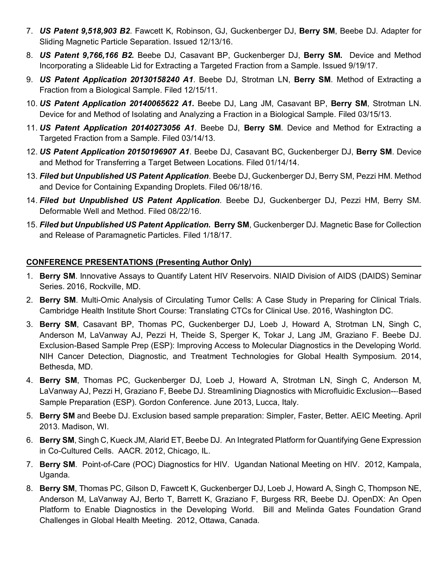- 7. *US Patent 9,518,903 B2*. Fawcett K, Robinson, GJ, Guckenberger DJ, **Berry SM**, Beebe DJ. Adapter for Sliding Magnetic Particle Separation. Issued 12/13/16.
- 8. *US Patent 9,766,166 B2.* Beebe DJ, Casavant BP, Guckenberger DJ, **Berry SM.** Device and Method Incorporating a Slideable Lid for Extracting a Targeted Fraction from a Sample. Issued 9/19/17.
- 9. *US Patent Application 20130158240 A1*. Beebe DJ, Strotman LN, **Berry SM**. Method of Extracting a Fraction from a Biological Sample. Filed 12/15/11.
- 10. *US Patent Application 20140065622 A1.* Beebe DJ, Lang JM, Casavant BP, **Berry SM**, Strotman LN. Device for and Method of Isolating and Analyzing a Fraction in a Biological Sample. Filed 03/15/13.
- 11. *US Patent Application 20140273056 A1*. Beebe DJ, **Berry SM**. Device and Method for Extracting a Targeted Fraction from a Sample. Filed 03/14/13.
- 12. *US Patent Application 20150196907 A1*. Beebe DJ, Casavant BC, Guckenberger DJ, **Berry SM**. Device and Method for Transferring a Target Between Locations. Filed 01/14/14.
- 13. *Filed but Unpublished US Patent Application*. Beebe DJ, Guckenberger DJ, Berry SM, Pezzi HM. Method and Device for Containing Expanding Droplets. Filed 06/18/16.
- 14. *Filed but Unpublished US Patent Application*. Beebe DJ, Guckenberger DJ, Pezzi HM, Berry SM. Deformable Well and Method. Filed 08/22/16.
- 15. *Filed but Unpublished US Patent Application***. Berry SM**, Guckenberger DJ. Magnetic Base for Collection and Release of Paramagnetic Particles. Filed 1/18/17.

## **CONFERENCE PRESENTATIONS (Presenting Author Only)**

- 1. **Berry SM**. Innovative Assays to Quantify Latent HIV Reservoirs. NIAID Division of AIDS (DAIDS) Seminar Series. 2016, Rockville, MD.
- 2. **Berry SM**. Multi-Omic Analysis of Circulating Tumor Cells: A Case Study in Preparing for Clinical Trials. Cambridge Health Institute Short Course: Translating CTCs for Clinical Use. 2016, Washington DC.
- 3. **Berry SM**, Casavant BP, Thomas PC, Guckenberger DJ, Loeb J, Howard A, Strotman LN, Singh C, Anderson M, LaVanway AJ, Pezzi H, Theide S, Sperger K, Tokar J, Lang JM, Graziano F. Beebe DJ. Exclusion-Based Sample Prep (ESP): Improving Access to Molecular Diagnostics in the Developing World. NIH Cancer Detection, Diagnostic, and Treatment Technologies for Global Health Symposium. 2014, Bethesda, MD.
- 4. **Berry SM**, Thomas PC, Guckenberger DJ, Loeb J, Howard A, Strotman LN, Singh C, Anderson M, LaVanway AJ, Pezzi H, Graziano F, Beebe DJ. Streamlining Diagnostics with Microfluidic Exclusion---Based Sample Preparation (ESP). Gordon Conference. June 2013, Lucca, Italy.
- 5. **Berry SM** and Beebe DJ. Exclusion based sample preparation: Simpler, Faster, Better. AEIC Meeting. April 2013. Madison, WI.
- 6. **Berry SM**, Singh C, Kueck JM, Alarid ET, Beebe DJ. An Integrated Platform for Quantifying Gene Expression in Co-Cultured Cells. AACR. 2012, Chicago, IL.
- 7. **Berry SM**. Point-of-Care (POC) Diagnostics for HIV. Ugandan National Meeting on HIV. 2012, Kampala, Uganda.
- 8. **Berry SM**, Thomas PC, Gilson D, Fawcett K, Guckenberger DJ, Loeb J, Howard A, Singh C, Thompson NE, Anderson M, LaVanway AJ, Berto T, Barrett K, Graziano F, Burgess RR, Beebe DJ. OpenDX: An Open Platform to Enable Diagnostics in the Developing World. Bill and Melinda Gates Foundation Grand Challenges in Global Health Meeting. 2012, Ottawa, Canada.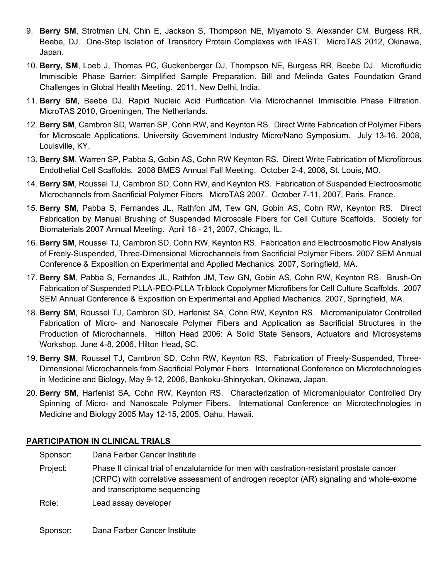- 9. **Berry SM**, Strotman LN, Chin E, Jackson S, Thompson NE, Miyamoto S, Alexander CM, Burgess RR, Beebe, DJ. One-Step Isolation of Transitory Protein Complexes with IFAST. MicroTAS 2012, Okinawa, Japan.
- 10. **Berry, SM**, Loeb J, Thomas PC, Guckenberger DJ, Thompson NE, Burgess RR, Beebe DJ. Microfluidic Immiscible Phase Barrier: Simplified Sample Preparation. Bill and Melinda Gates Foundation Grand Challenges in Global Health Meeting. 2011, New Delhi, India.
- 11. **Berry SM**, Beebe DJ. Rapid Nucleic Acid Purification Via Microchannel Immiscible Phase Filtration. MicroTAS 2010, Groeningen, The Netherlands.
- 12. **Berry SM**, Cambron SD, Warren SP, Cohn RW, and Keynton RS. Direct Write Fabrication of Polymer Fibers for Microscale Applications. University Government Industry Micro/Nano Symposium. July 13-16, 2008, Louisville, KY.
- 13. **Berry SM**, Warren SP, Pabba S, Gobin AS, Cohn RW Keynton RS. Direct Write Fabrication of Microfibrous Endothelial Cell Scaffolds. 2008 BMES Annual Fall Meeting. October 2-4, 2008, St. Louis, MO.
- 14. **Berry SM**, Roussel TJ, Cambron SD, Cohn RW, and Keynton RS. Fabrication of Suspended Electroosmotic Microchannels from Sacrificial Polymer Fibers. MicroTAS 2007. October 7-11, 2007, Paris, France.
- 15. **Berry SM**, Pabba S, Fernandes JL, Rathfon JM, Tew GN, Gobin AS, Cohn RW, Keynton RS. Direct Fabrication by Manual Brushing of Suspended Microscale Fibers for Cell Culture Scaffolds. Society for Biomaterials 2007 Annual Meeting. April 18 - 21, 2007, Chicago, IL.
- 16. **Berry SM**, Roussel TJ, Cambron SD, Cohn RW, Keynton RS. Fabrication and Electroosmotic Flow Analysis of Freely-Suspended, Three-Dimensional Microchannels from Sacrificial Polymer Fibers. 2007 SEM Annual Conference & Exposition on Experimental and Applied Mechanics. 2007, Springfield, MA.
- 17. **Berry SM**, Pabba S, Fernandes JL, Rathfon JM, Tew GN, Gobin AS, Cohn RW, Keynton RS. Brush-On Fabrication of Suspended PLLA-PEO-PLLA Triblock Copolymer Microfibers for Cell Culture Scaffolds. 2007 SEM Annual Conference & Exposition on Experimental and Applied Mechanics. 2007, Springfield, MA.
- 18. **Berry SM**, Roussel TJ, Cambron SD, Harfenist SA, Cohn RW, Keynton RS. Micromanipulator Controlled Fabrication of Micro- and Nanoscale Polymer Fibers and Application as Sacrificial Structures in the Production of Microchannels. Hilton Head 2006: A Solid State Sensors, Actuators and Microsystems Workshop, June 4-8, 2006, Hilton Head, SC.
- 19. **Berry SM**, Roussel TJ, Cambron SD, Cohn RW, Keynton RS. Fabrication of Freely-Suspended, Three-Dimensional Microchannels from Sacrificial Polymer Fibers. International Conference on Microtechnologies in Medicine and Biology, May 9-12, 2006, Bankoku-Shinryokan, Okinawa, Japan.
- 20. **Berry SM**, Harfenist SA, Cohn RW, Keynton RS. Characterization of Micromanipulator Controlled Dry Spinning of Micro- and Nanoscale Polymer Fibers. International Conference on Microtechnologies in Medicine and Biology 2005 May 12-15, 2005, Oahu, Hawaii.

## **PARTICIPATION IN CLINICAL TRIALS**

| Sponsor: | Dana Farber Cancer Institute                                                                                                                                                                                        |
|----------|---------------------------------------------------------------------------------------------------------------------------------------------------------------------------------------------------------------------|
| Project: | Phase II clinical trial of enzalutamide for men with castration-resistant prostate cancer<br>(CRPC) with correlative assessment of androgen receptor (AR) signaling and whole-exome<br>and transcriptome sequencing |
| Role:    | Lead assay developer                                                                                                                                                                                                |

Sponsor: Dana Farber Cancer Institute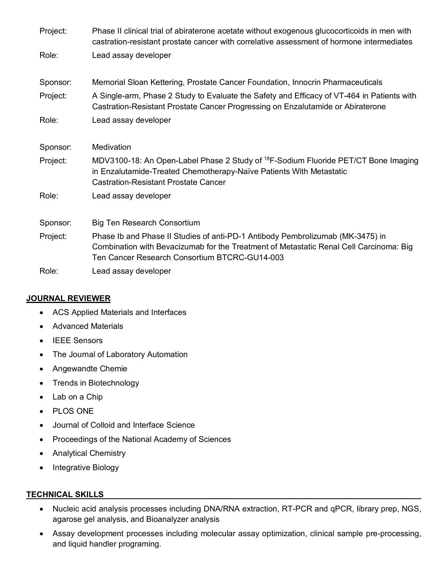| Project: | Phase II clinical trial of abiraterone acetate without exogenous glucocorticoids in men with<br>castration-resistant prostate cancer with correlative assessment of hormone intermediates                                 |
|----------|---------------------------------------------------------------------------------------------------------------------------------------------------------------------------------------------------------------------------|
| Role:    | Lead assay developer                                                                                                                                                                                                      |
| Sponsor: | Memorial Sloan Kettering, Prostate Cancer Foundation, Innocrin Pharmaceuticals                                                                                                                                            |
| Project: | A Single-arm, Phase 2 Study to Evaluate the Safety and Efficacy of VT-464 in Patients with<br>Castration-Resistant Prostate Cancer Progressing on Enzalutamide or Abiraterone                                             |
| Role:    | Lead assay developer                                                                                                                                                                                                      |
| Sponsor: | Medivation                                                                                                                                                                                                                |
| Project: | MDV3100-18: An Open-Label Phase 2 Study of <sup>18</sup> F-Sodium Fluoride PET/CT Bone Imaging<br>in Enzalutamide-Treated Chemotherapy-Naïve Patients With Metastatic<br><b>Castration-Resistant Prostate Cancer</b>      |
| Role:    | Lead assay developer                                                                                                                                                                                                      |
| Sponsor: | Big Ten Research Consortium                                                                                                                                                                                               |
| Project: | Phase Ib and Phase II Studies of anti-PD-1 Antibody Pembrolizumab (MK-3475) in<br>Combination with Bevacizumab for the Treatment of Metastatic Renal Cell Carcinoma: Big<br>Ten Cancer Research Consortium BTCRC-GU14-003 |
| Role:    | Lead assay developer                                                                                                                                                                                                      |

# **JOURNAL REVIEWER**

- ACS Applied Materials and Interfaces
- Advanced Materials
- IEEE Sensors
- The Journal of Laboratory Automation
- Angewandte Chemie
- Trends in Biotechnology
- Lab on a Chip
- PLOS ONE
- Journal of Colloid and Interface Science
- Proceedings of the National Academy of Sciences
- Analytical Chemistry
- Integrative Biology

## **TECHNICAL SKILLS**

- Nucleic acid analysis processes including DNA/RNA extraction, RT-PCR and qPCR, library prep, NGS, agarose gel analysis, and Bioanalyzer analysis
- Assay development processes including molecular assay optimization, clinical sample pre-processing, and liquid handler programing.